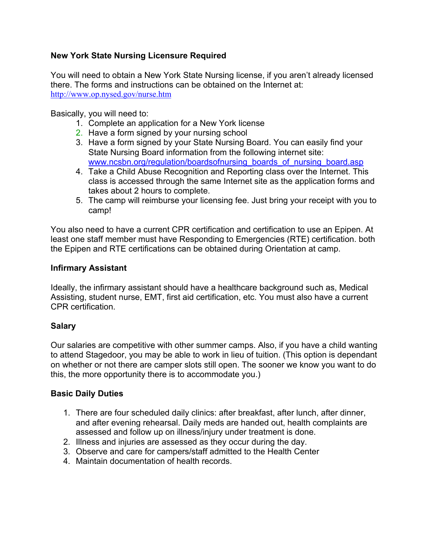# **New York State Nursing Licensure Required**

You will need to obtain a New York State Nursing license, if you aren't already licensed there. The forms and instructions can be obtained on the Internet at: http://www.op.nysed.gov/nurse.htm

Basically, you will need to:

- 1. Complete an application for a New York license
- 2. Have a form signed by your nursing school
- 3. Have a form signed by your State Nursing Board. You can easily find your State Nursing Board information from the following internet site: www.ncsbn.org/regulation/boardsofnursing\_boards\_of\_nursing\_board.asp
- 4. Take a Child Abuse Recognition and Reporting class over the Internet. This class is accessed through the same Internet site as the application forms and takes about 2 hours to complete.
- 5. The camp will reimburse your licensing fee. Just bring your receipt with you to camp!

You also need to have a current CPR certification and certification to use an Epipen. At least one staff member must have Responding to Emergencies (RTE) certification. both the Epipen and RTE certifications can be obtained during Orientation at camp.

# **Infirmary Assistant**

Ideally, the infirmary assistant should have a healthcare background such as, Medical Assisting, student nurse, EMT, first aid certification, etc. You must also have a current CPR certification.

# **Salary**

Our salaries are competitive with other summer camps. Also, if you have a child wanting to attend Stagedoor, you may be able to work in lieu of tuition. (This option is dependant on whether or not there are camper slots still open. The sooner we know you want to do this, the more opportunity there is to accommodate you.)

# **Basic Daily Duties**

- 1. There are four scheduled daily clinics: after breakfast, after lunch, after dinner, and after evening rehearsal. Daily meds are handed out, health complaints are assessed and follow up on illness/injury under treatment is done.
- 2. Illness and injuries are assessed as they occur during the day.
- 3. Observe and care for campers/staff admitted to the Health Center
- 4. Maintain documentation of health records.